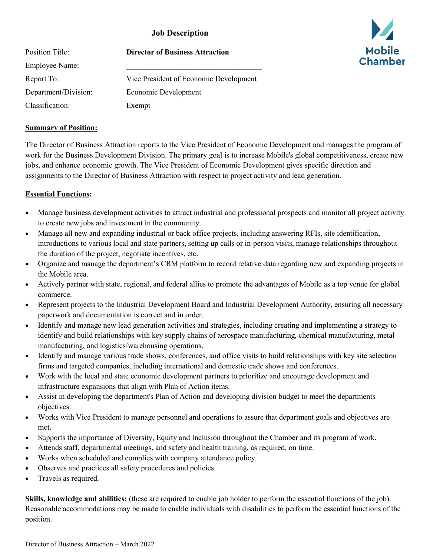### **Job Description**

| Position Title:      | <b>Director of Business Attraction</b> |
|----------------------|----------------------------------------|
| Employee Name:       |                                        |
| Report To:           | Vice President of Economic Development |
| Department/Division: | Economic Development                   |
| Classification:      | Exempt                                 |

# **Summary of Position:**

The Director of Business Attraction reports to the Vice President of Economic Development and manages the program of work for the Business Development Division. The primary goal is to increase Mobile's global competitiveness, create new jobs, and enhance economic growth. The Vice President of Economic Development gives specific direction and assignments to the Director of Business Attraction with respect to project activity and lead generation.

#### **Essential Functions:**

- Manage business development activities to attract industrial and professional prospects and monitor all project activity to create new jobs and investment in the community.
- Manage all new and expanding industrial or back office projects, including answering RFIs, site identification, introductions to various local and state partners, setting up calls or in-person visits, manage relationships throughout the duration of the project, negotiate incentives, etc.
- Organize and manage the department's CRM platform to record relative data regarding new and expanding projects in the Mobile area.
- Actively partner with state, regional, and federal allies to promote the advantages of Mobile as a top venue for global commerce.
- Represent projects to the Industrial Development Board and Industrial Development Authority, ensuring all necessary paperwork and documentation is correct and in order.
- Identify and manage new lead generation activities and strategies, including creating and implementing a strategy to identify and build relationships with key supply chains of aerospace manufacturing, chemical manufacturing, metal manufacturing, and logistics/warehousing operations.
- Identify and manage various trade shows, conferences, and office visits to build relationships with key site selection firms and targeted companies, including international and domestic trade shows and conferences.
- Work with the local and state economic development partners to prioritize and encourage development and infrastructure expansions that align with Plan of Action items.
- Assist in developing the department's Plan of Action and developing division budget to meet the departments objectives.
- Works with Vice President to manage personnel and operations to assure that department goals and objectives are met.
- Supports the importance of Diversity, Equity and Inclusion throughout the Chamber and its program of work.
- Attends staff, departmental meetings, and safety and health training, as required, on time.
- Works when scheduled and complies with company attendance policy.
- Observes and practices all safety procedures and policies.
- Travels as required.

**Skills, knowledge and abilities:** (these are required to enable job holder to perform the essential functions of the job). Reasonable accommodations may be made to enable individuals with disabilities to perform the essential functions of the position.